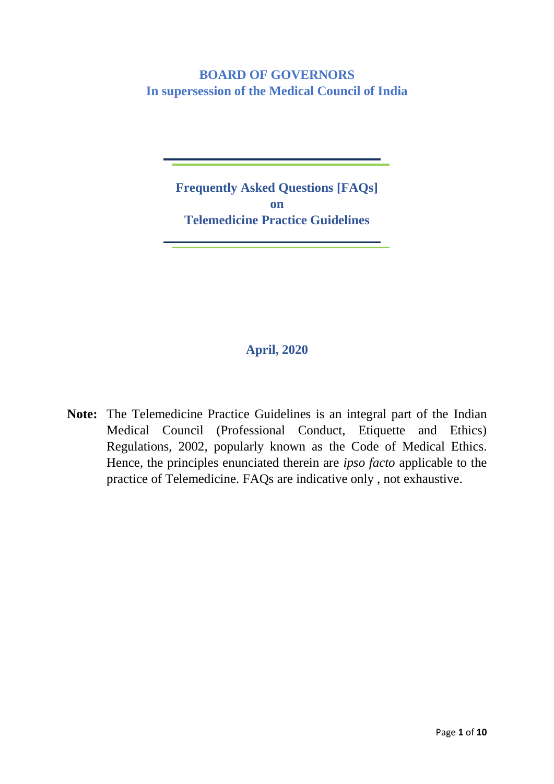### **BOARD OF GOVERNORS In supersession of the Medical Council of India**

**Frequently Asked Questions [FAQs] on Telemedicine Practice Guidelines**

### **April, 2020**

**Note:** The Telemedicine Practice Guidelines is an integral part of the Indian Medical Council (Professional Conduct, Etiquette and Ethics) Regulations, 2002, popularly known as the Code of Medical Ethics. Hence, the principles enunciated therein are *ipso facto* applicable to the practice of Telemedicine. FAQs are indicative only , not exhaustive.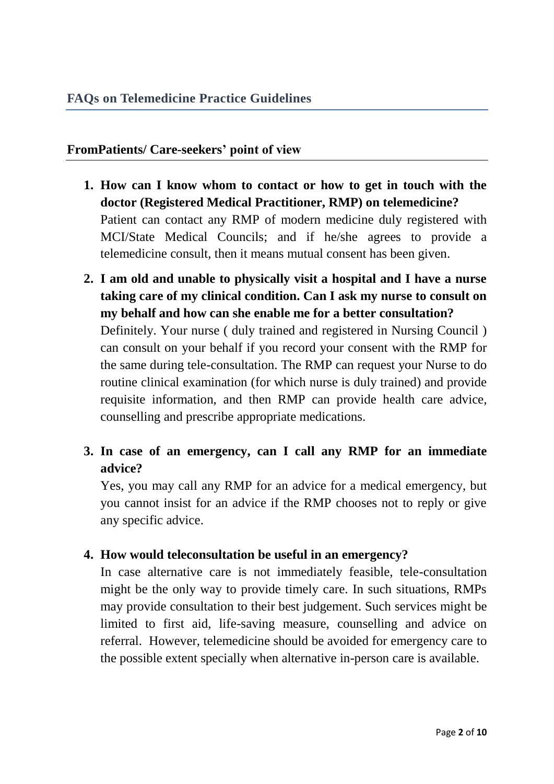### **FromPatients/ Care-seekers' point of view**

- **1. How can I know whom to contact or how to get in touch with the doctor (Registered Medical Practitioner, RMP) on telemedicine?** Patient can contact any RMP of modern medicine duly registered with MCI/State Medical Councils; and if he/she agrees to provide a telemedicine consult, then it means mutual consent has been given.
- **2. I am old and unable to physically visit a hospital and I have a nurse taking care of my clinical condition. Can I ask my nurse to consult on my behalf and how can she enable me for a better consultation?**  Definitely. Your nurse ( duly trained and registered in Nursing Council ) can consult on your behalf if you record your consent with the RMP for the same during tele-consultation. The RMP can request your Nurse to do routine clinical examination (for which nurse is duly trained) and provide requisite information, and then RMP can provide health care advice, counselling and prescribe appropriate medications.
- **3. In case of an emergency, can I call any RMP for an immediate advice?**

Yes, you may call any RMP for an advice for a medical emergency, but you cannot insist for an advice if the RMP chooses not to reply or give any specific advice.

### **4. How would teleconsultation be useful in an emergency?**

In case alternative care is not immediately feasible, tele-consultation might be the only way to provide timely care. In such situations, RMPs may provide consultation to their best judgement. Such services might be limited to first aid, life-saving measure, counselling and advice on referral. However, telemedicine should be avoided for emergency care to the possible extent specially when alternative in-person care is available.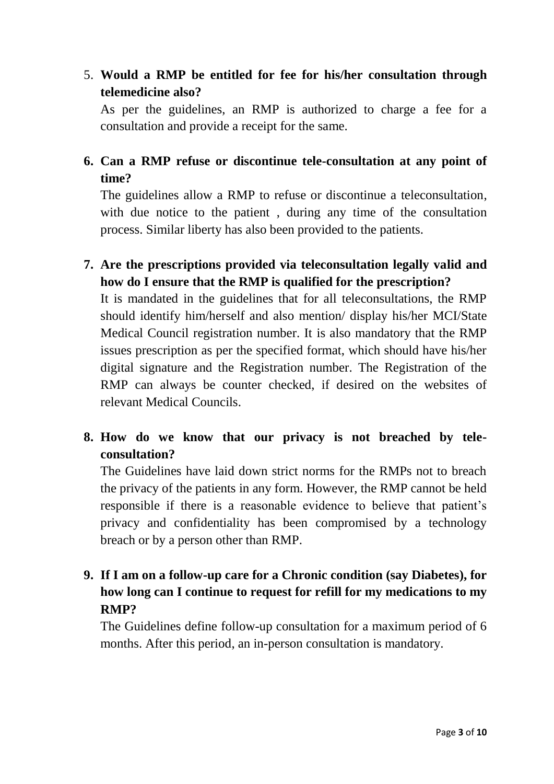5. **Would a RMP be entitled for fee for his/her consultation through telemedicine also?**

As per the guidelines, an RMP is authorized to charge a fee for a consultation and provide a receipt for the same.

### **6. Can a RMP refuse or discontinue tele-consultation at any point of time?**

The guidelines allow a RMP to refuse or discontinue a teleconsultation, with due notice to the patient, during any time of the consultation process. Similar liberty has also been provided to the patients.

**7. Are the prescriptions provided via teleconsultation legally valid and how do I ensure that the RMP is qualified for the prescription?**

It is mandated in the guidelines that for all teleconsultations, the RMP should identify him/herself and also mention/ display his/her MCI/State Medical Council registration number. It is also mandatory that the RMP issues prescription as per the specified format, which should have his/her digital signature and the Registration number. The Registration of the RMP can always be counter checked, if desired on the websites of relevant Medical Councils.

**8. How do we know that our privacy is not breached by teleconsultation?**

The Guidelines have laid down strict norms for the RMPs not to breach the privacy of the patients in any form. However, the RMP cannot be held responsible if there is a reasonable evidence to believe that patient's privacy and confidentiality has been compromised by a technology breach or by a person other than RMP.

**9. If I am on a follow-up care for a Chronic condition (say Diabetes), for how long can I continue to request for refill for my medications to my RMP?**

The Guidelines define follow-up consultation for a maximum period of 6 months. After this period, an in-person consultation is mandatory.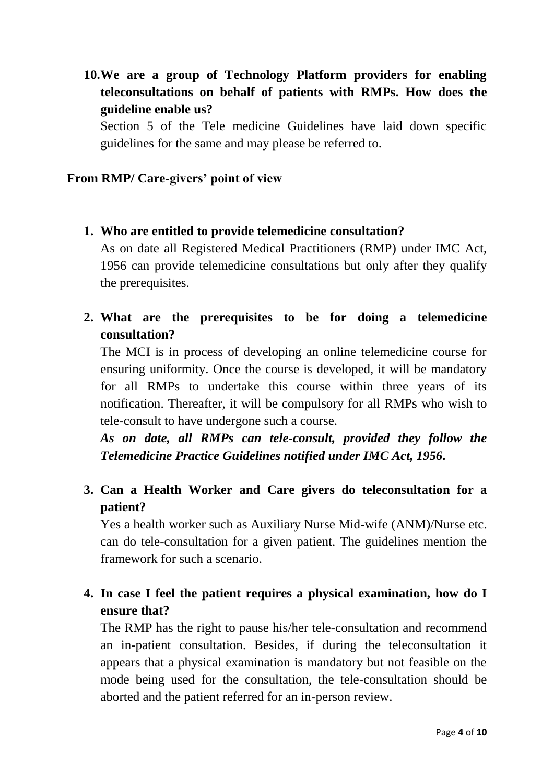**10.We are a group of Technology Platform providers for enabling teleconsultations on behalf of patients with RMPs. How does the guideline enable us?**

Section 5 of the Tele medicine Guidelines have laid down specific guidelines for the same and may please be referred to.

#### **From RMP/ Care-givers' point of view**

**1. Who are entitled to provide telemedicine consultation?**

As on date all Registered Medical Practitioners (RMP) under IMC Act, 1956 can provide telemedicine consultations but only after they qualify the prerequisites.

**2. What are the prerequisites to be for doing a telemedicine consultation?**

The MCI is in process of developing an online telemedicine course for ensuring uniformity. Once the course is developed, it will be mandatory for all RMPs to undertake this course within three years of its notification. Thereafter, it will be compulsory for all RMPs who wish to tele-consult to have undergone such a course.

*As on date, all RMPs can tele-consult, provided they follow the Telemedicine Practice Guidelines notified under IMC Act, 1956.*

**3. Can a Health Worker and Care givers do teleconsultation for a patient?**

Yes a health worker such as Auxiliary Nurse Mid-wife (ANM)/Nurse etc. can do tele-consultation for a given patient. The guidelines mention the framework for such a scenario.

**4. In case I feel the patient requires a physical examination, how do I ensure that?**

The RMP has the right to pause his/her tele-consultation and recommend an in-patient consultation. Besides, if during the teleconsultation it appears that a physical examination is mandatory but not feasible on the mode being used for the consultation, the tele-consultation should be aborted and the patient referred for an in-person review.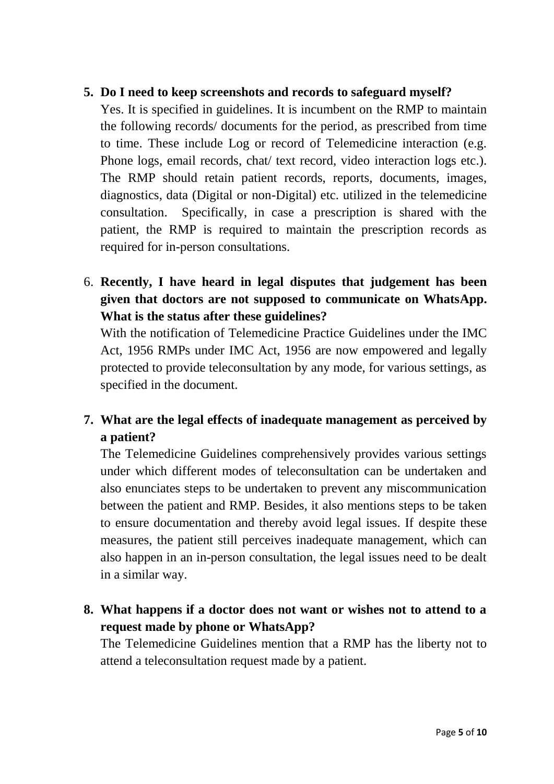#### **5. Do I need to keep screenshots and records to safeguard myself?**

Yes. It is specified in guidelines. It is incumbent on the RMP to maintain the following records/ documents for the period, as prescribed from time to time. These include Log or record of Telemedicine interaction (e.g. Phone logs, email records, chat/ text record, video interaction logs etc.). The RMP should retain patient records, reports, documents, images, diagnostics, data (Digital or non-Digital) etc. utilized in the telemedicine consultation. Specifically, in case a prescription is shared with the patient, the RMP is required to maintain the prescription records as required for in-person consultations.

6. **Recently, I have heard in legal disputes that judgement has been given that doctors are not supposed to communicate on WhatsApp. What is the status after these guidelines?** 

With the notification of Telemedicine Practice Guidelines under the IMC Act, 1956 RMPs under IMC Act, 1956 are now empowered and legally protected to provide teleconsultation by any mode, for various settings, as specified in the document.

# **7. What are the legal effects of inadequate management as perceived by a patient?**

The Telemedicine Guidelines comprehensively provides various settings under which different modes of teleconsultation can be undertaken and also enunciates steps to be undertaken to prevent any miscommunication between the patient and RMP. Besides, it also mentions steps to be taken to ensure documentation and thereby avoid legal issues. If despite these measures, the patient still perceives inadequate management, which can also happen in an in-person consultation, the legal issues need to be dealt in a similar way.

**8. What happens if a doctor does not want or wishes not to attend to a request made by phone or WhatsApp?**

The Telemedicine Guidelines mention that a RMP has the liberty not to attend a teleconsultation request made by a patient.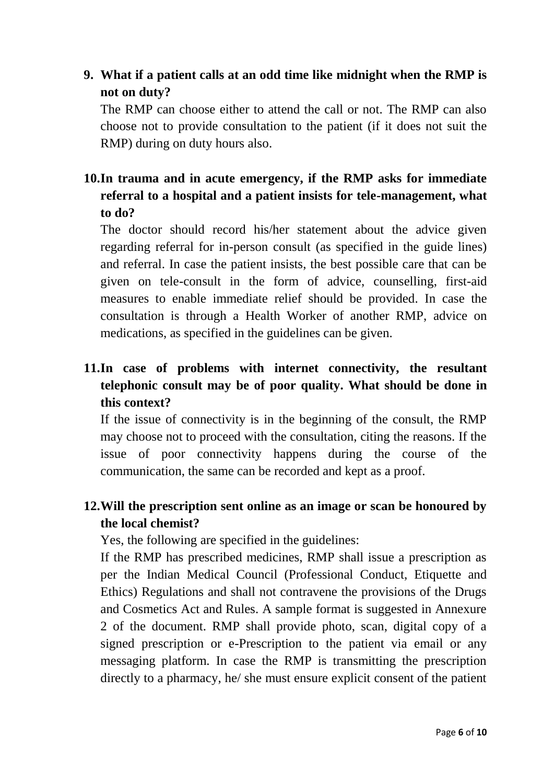## **9. What if a patient calls at an odd time like midnight when the RMP is not on duty?**

The RMP can choose either to attend the call or not. The RMP can also choose not to provide consultation to the patient (if it does not suit the RMP) during on duty hours also.

## **10.In trauma and in acute emergency, if the RMP asks for immediate referral to a hospital and a patient insists for tele-management, what to do?**

The doctor should record his/her statement about the advice given regarding referral for in-person consult (as specified in the guide lines) and referral. In case the patient insists, the best possible care that can be given on tele-consult in the form of advice, counselling, first-aid measures to enable immediate relief should be provided. In case the consultation is through a Health Worker of another RMP, advice on medications, as specified in the guidelines can be given.

# **11.In case of problems with internet connectivity, the resultant telephonic consult may be of poor quality. What should be done in this context?**

If the issue of connectivity is in the beginning of the consult, the RMP may choose not to proceed with the consultation, citing the reasons. If the issue of poor connectivity happens during the course of the communication, the same can be recorded and kept as a proof.

## **12.Will the prescription sent online as an image or scan be honoured by the local chemist?**

Yes, the following are specified in the guidelines:

If the RMP has prescribed medicines, RMP shall issue a prescription as per the Indian Medical Council (Professional Conduct, Etiquette and Ethics) Regulations and shall not contravene the provisions of the Drugs and Cosmetics Act and Rules. A sample format is suggested in Annexure 2 of the document. RMP shall provide photo, scan, digital copy of a signed prescription or e-Prescription to the patient via email or any messaging platform. In case the RMP is transmitting the prescription directly to a pharmacy, he/ she must ensure explicit consent of the patient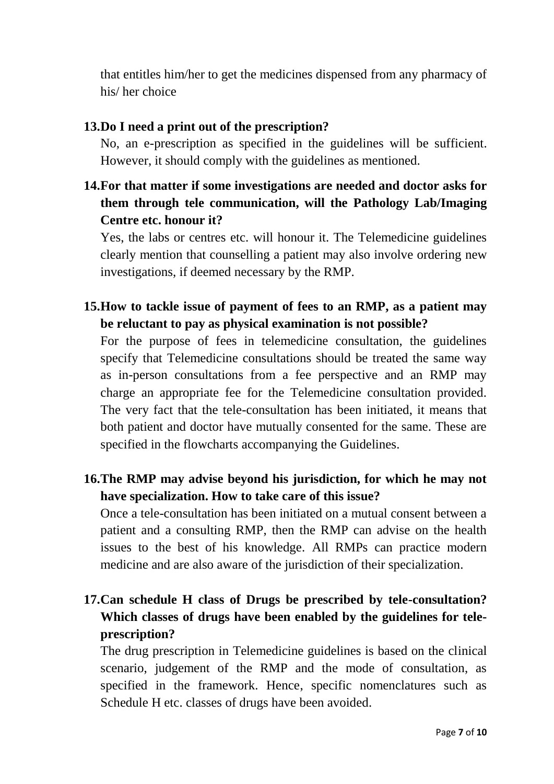that entitles him/her to get the medicines dispensed from any pharmacy of his/ her choice

#### **13.Do I need a print out of the prescription?**

No, an e-prescription as specified in the guidelines will be sufficient. However, it should comply with the guidelines as mentioned.

**14.For that matter if some investigations are needed and doctor asks for them through tele communication, will the Pathology Lab/Imaging Centre etc. honour it?**

Yes, the labs or centres etc. will honour it. The Telemedicine guidelines clearly mention that counselling a patient may also involve ordering new investigations, if deemed necessary by the RMP.

**15.How to tackle issue of payment of fees to an RMP, as a patient may be reluctant to pay as physical examination is not possible?**

For the purpose of fees in telemedicine consultation, the guidelines specify that Telemedicine consultations should be treated the same way as in-person consultations from a fee perspective and an RMP may charge an appropriate fee for the Telemedicine consultation provided. The very fact that the tele-consultation has been initiated, it means that both patient and doctor have mutually consented for the same. These are specified in the flowcharts accompanying the Guidelines.

**16.The RMP may advise beyond his jurisdiction, for which he may not have specialization. How to take care of this issue?**

Once a tele-consultation has been initiated on a mutual consent between a patient and a consulting RMP, then the RMP can advise on the health issues to the best of his knowledge. All RMPs can practice modern medicine and are also aware of the jurisdiction of their specialization.

**17.Can schedule H class of Drugs be prescribed by tele-consultation? Which classes of drugs have been enabled by the guidelines for teleprescription?**

The drug prescription in Telemedicine guidelines is based on the clinical scenario, judgement of the RMP and the mode of consultation, as specified in the framework. Hence, specific nomenclatures such as Schedule H etc. classes of drugs have been avoided.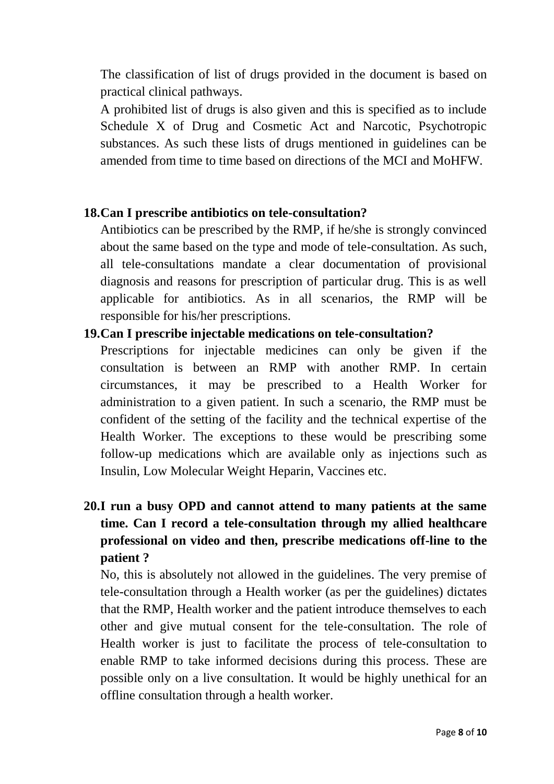The classification of list of drugs provided in the document is based on practical clinical pathways.

A prohibited list of drugs is also given and this is specified as to include Schedule X of Drug and Cosmetic Act and Narcotic, Psychotropic substances. As such these lists of drugs mentioned in guidelines can be amended from time to time based on directions of the MCI and MoHFW.

#### **18.Can I prescribe antibiotics on tele-consultation?**

Antibiotics can be prescribed by the RMP, if he/she is strongly convinced about the same based on the type and mode of tele-consultation. As such, all tele-consultations mandate a clear documentation of provisional diagnosis and reasons for prescription of particular drug. This is as well applicable for antibiotics. As in all scenarios, the RMP will be responsible for his/her prescriptions.

#### **19.Can I prescribe injectable medications on tele-consultation?**

Prescriptions for injectable medicines can only be given if the consultation is between an RMP with another RMP. In certain circumstances, it may be prescribed to a Health Worker for administration to a given patient. In such a scenario, the RMP must be confident of the setting of the facility and the technical expertise of the Health Worker. The exceptions to these would be prescribing some follow-up medications which are available only as injections such as Insulin, Low Molecular Weight Heparin, Vaccines etc.

# **20.I run a busy OPD and cannot attend to many patients at the same time. Can I record a tele-consultation through my allied healthcare professional on video and then, prescribe medications off-line to the patient ?**

No, this is absolutely not allowed in the guidelines. The very premise of tele-consultation through a Health worker (as per the guidelines) dictates that the RMP, Health worker and the patient introduce themselves to each other and give mutual consent for the tele-consultation. The role of Health worker is just to facilitate the process of tele-consultation to enable RMP to take informed decisions during this process. These are possible only on a live consultation. It would be highly unethical for an offline consultation through a health worker.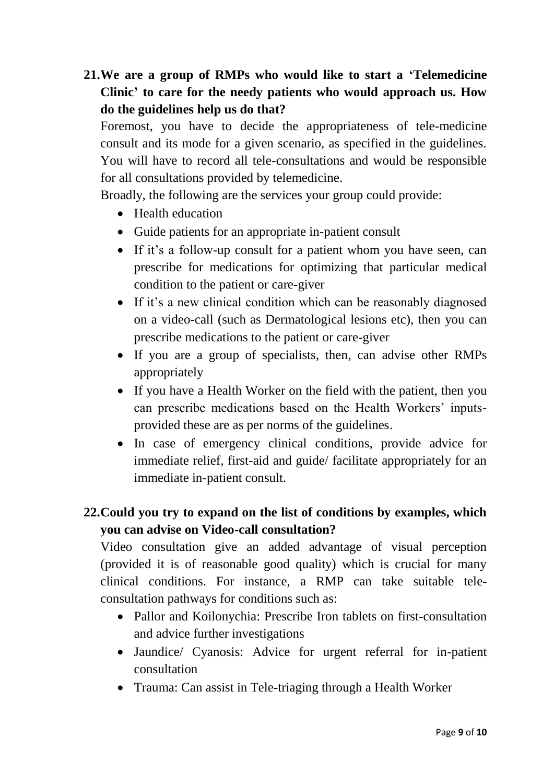# **21.We are a group of RMPs who would like to start a 'Telemedicine Clinic' to care for the needy patients who would approach us. How do the guidelines help us do that?**

Foremost, you have to decide the appropriateness of tele-medicine consult and its mode for a given scenario, as specified in the guidelines. You will have to record all tele-consultations and would be responsible for all consultations provided by telemedicine.

Broadly, the following are the services your group could provide:

- Health education
- Guide patients for an appropriate in-patient consult
- If it's a follow-up consult for a patient whom you have seen, can prescribe for medications for optimizing that particular medical condition to the patient or care-giver
- If it's a new clinical condition which can be reasonably diagnosed on a video-call (such as Dermatological lesions etc), then you can prescribe medications to the patient or care-giver
- If you are a group of specialists, then, can advise other RMPs appropriately
- If you have a Health Worker on the field with the patient, then you can prescribe medications based on the Health Workers' inputsprovided these are as per norms of the guidelines.
- In case of emergency clinical conditions, provide advice for immediate relief, first-aid and guide/ facilitate appropriately for an immediate in-patient consult.

### **22.Could you try to expand on the list of conditions by examples, which you can advise on Video-call consultation?**

Video consultation give an added advantage of visual perception (provided it is of reasonable good quality) which is crucial for many clinical conditions. For instance, a RMP can take suitable teleconsultation pathways for conditions such as:

- Pallor and Koilonychia: Prescribe Iron tablets on first-consultation and advice further investigations
- Jaundice/ Cyanosis: Advice for urgent referral for in-patient consultation
- Trauma: Can assist in Tele-triaging through a Health Worker